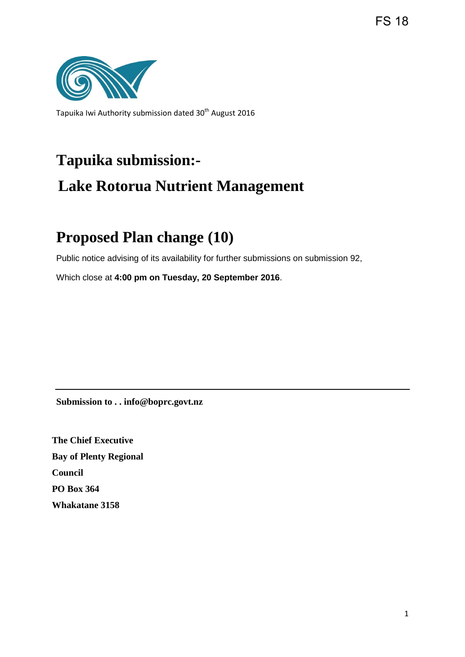FS 18



Tapuika Iwi Authority submission dated 30<sup>th</sup> August 2016

# **Tapuika submission:- Lake Rotorua Nutrient Management**

## **Proposed Plan change (10)**

Public notice advising of its availability for further submissions on submission 92,

Which close at **4:00 pm on Tuesday, 20 September 2016**.

**Submission to . . info@boprc.govt.nz** 

**The Chief Executive Bay of Plenty Regional Council PO Box 364 Whakatane 3158**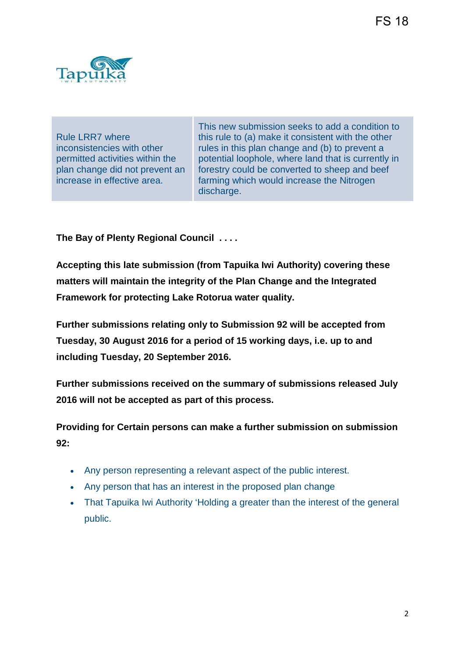

Rule LRR7 where inconsistencies with other permitted activities within the plan change did not prevent an increase in effective area.

This new submission seeks to add a condition to this rule to (a) make it consistent with the other rules in this plan change and (b) to prevent a potential loophole, where land that is currently in forestry could be converted to sheep and beef farming which would increase the Nitrogen discharge.

**The Bay of Plenty Regional Council . . . .**

**Accepting this late submission (from Tapuika Iwi Authority) covering these matters will maintain the integrity of the Plan Change and the Integrated Framework for protecting Lake Rotorua water quality.** 

**Further submissions relating only to Submission 92 will be accepted from Tuesday, 30 August 2016 for a period of 15 working days, i.e. up to and including Tuesday, 20 September 2016.** 

**Further submissions received on the summary of submissions released July 2016 will not be accepted as part of this process.** 

**Providing for Certain persons can make a further submission on submission 92:**

- Any person representing a relevant aspect of the public interest.
- Any person that has an interest in the proposed plan change
- That Tapuika Iwi Authority 'Holding a greater than the interest of the general public.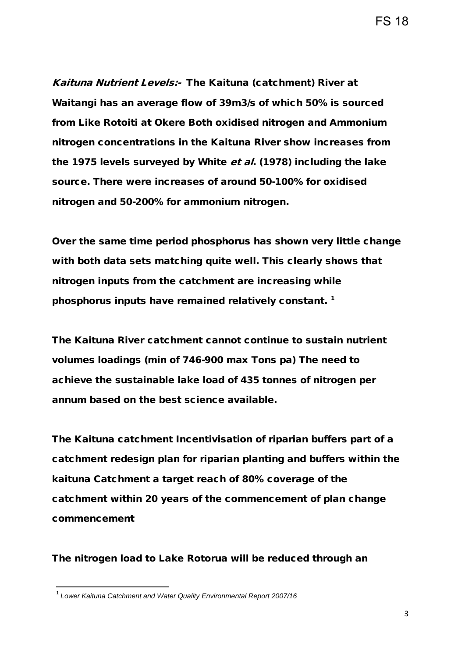FS 18

Kaituna Nutrient Levels:- The Kaituna (catchment) River at Waitangi has an average flow of 39m3/s of which 50% is sourced from Like Rotoiti at Okere Both oxidised nitrogen and Ammonium nitrogen concentrations in the Kaituna River show increases from the 1975 levels surveyed by White et al. (1978) including the lake source. There were increases of around 50-100% for oxidised nitrogen and 50-200% for ammonium nitrogen.

Over the same time period phosphorus has shown very little change with both data sets matching quite well. This clearly shows that nitrogen inputs from the catchment are increasing while phosphorus inputs have remained relatively constant.<sup>[1](#page-2-0)</sup>

The Kaituna River catchment cannot continue to sustain nutrient volumes loadings (min of 746-900 max Tons pa) The need to achieve the sustainable lake load of 435 tonnes of nitrogen per annum based on the best science available.

The Kaituna catchment Incentivisation of riparian buffers part of a catchment redesign plan for riparian planting and buffers within the kaituna Catchment a target reach of 80% coverage of the catchment within 20 years of the commencement of plan change commencement

The nitrogen load to Lake Rotorua will be reduced through an

 $\overline{a}$ 

<span id="page-2-0"></span><sup>1</sup> *Lower Kaituna Catchment and Water Quality Environmental Report 2007/16*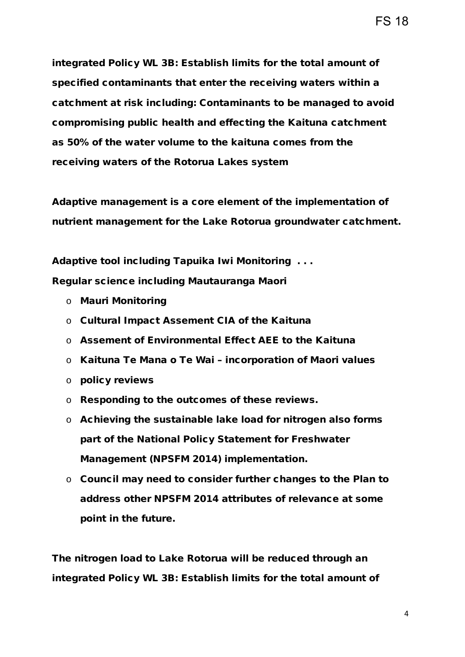integrated Policy WL 3B: Establish limits for the total amount of specified contaminants that enter the receiving waters within a catchment at risk including: Contaminants to be managed to avoid compromising public health and effecting the Kaituna catchment as 50% of the water volume to the kaituna comes from the receiving waters of the Rotorua Lakes system

Adaptive management is a core element of the implementation of nutrient management for the Lake Rotorua groundwater catchment.

Adaptive tool including Tapuika Iwi Monitoring . . .

Regular science including Mautauranga Maori

- o Mauri Monitoring
- o Cultural Impact Assement CIA of the Kaituna
- o Assement of Environmental Effect AEE to the Kaituna
- o Kaituna Te Mana o Te Wai incorporation of Maori values
- o policy reviews
- o Responding to the outcomes of these reviews.
- o Achieving the sustainable lake load for nitrogen also forms part of the National Policy Statement for Freshwater Management (NPSFM 2014) implementation.
- o Council may need to consider further changes to the Plan to address other NPSFM 2014 attributes of relevance at some point in the future.

The nitrogen load to Lake Rotorua will be reduced through an integrated Policy WL 3B: Establish limits for the total amount of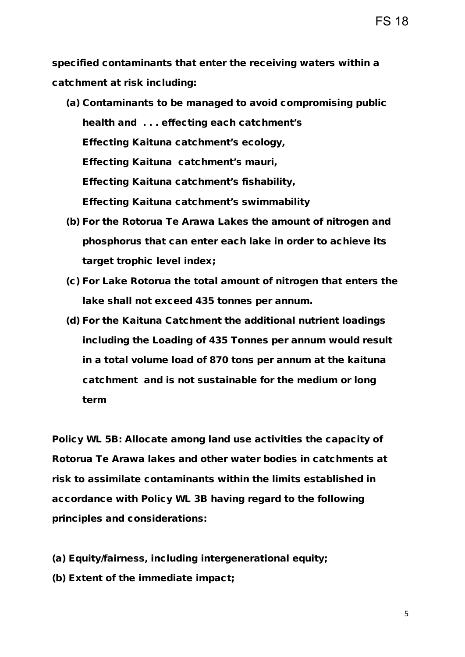specified contaminants that enter the receiving waters within a catchment at risk including:

- (a) Contaminants to be managed to avoid compromising public health and . . . effecting each catchment's Effecting Kaituna catchment's ecology, Effecting Kaituna catchment's mauri, Effecting Kaituna catchment's fishability, Effecting Kaituna catchment's swimmability
- (b) For the Rotorua Te Arawa Lakes the amount of nitrogen and phosphorus that can enter each lake in order to achieve its target trophic level index;
- (c) For Lake Rotorua the total amount of nitrogen that enters the lake shall not exceed 435 tonnes per annum.
- (d) For the Kaituna Catchment the additional nutrient loadings including the Loading of 435 Tonnes per annum would result in a total volume load of 870 tons per annum at the kaituna catchment and is not sustainable for the medium or long term

Policy WL 5B: Allocate among land use activities the capacity of Rotorua Te Arawa lakes and other water bodies in catchments at risk to assimilate contaminants within the limits established in accordance with Policy WL 3B having regard to the following principles and considerations:

- (a) Equity/fairness, including intergenerational equity;
- (b) Extent of the immediate impact;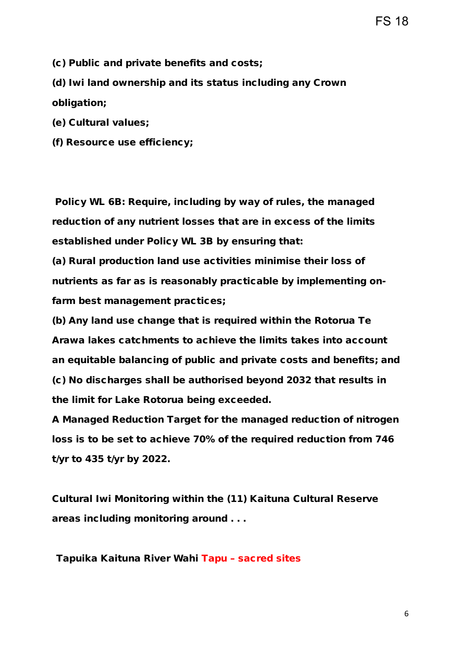FS 18

(c) Public and private benefits and costs;

(d) Iwi land ownership and its status including any Crown obligation;

(e) Cultural values;

(f) Resource use efficiency;

Policy WL 6B: Require, including by way of rules, the managed reduction of any nutrient losses that are in excess of the limits established under Policy WL 3B by ensuring that:

(a) Rural production land use activities minimise their loss of nutrients as far as is reasonably practicable by implementing onfarm best management practices;

(b) Any land use change that is required within the Rotorua Te Arawa lakes catchments to achieve the limits takes into account an equitable balancing of public and private costs and benefits; and (c) No discharges shall be authorised beyond 2032 that results in the limit for Lake Rotorua being exceeded.

A Managed Reduction Target for the managed reduction of nitrogen loss is to be set to achieve 70% of the required reduction from 746 t/yr to 435 t/yr by 2022.

Cultural Iwi Monitoring within the (11) Kaituna Cultural Reserve areas including monitoring around . . .

Tapuika Kaituna River Wahi Tapu – sacred sites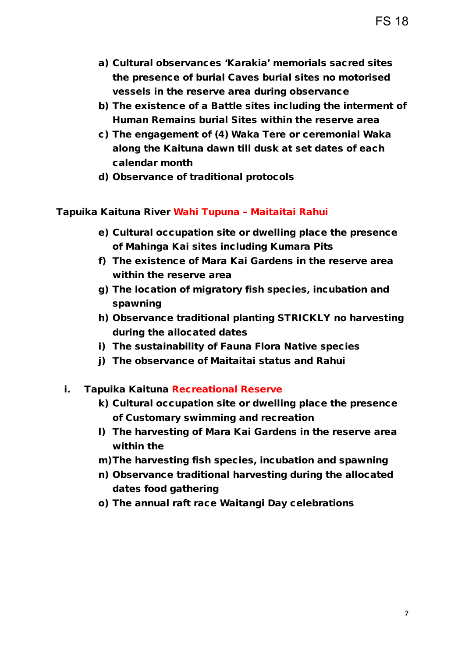- a) Cultural observances 'Karakia' memorials sacred sites the presence of burial Caves burial sites no motorised vessels in the reserve area during observance
- b) The existence of a Battle sites including the interment of Human Remains burial Sites within the reserve area
- c) The engagement of (4) Waka Tere or ceremonial Waka along the Kaituna dawn till dusk at set dates of each calendar month
- d) Observance of traditional protocols

#### Tapuika Kaituna River Wahi Tupuna – Maitaitai Rahui

- e) Cultural occupation site or dwelling place the presence of Mahinga Kai sites including Kumara Pits
- f) The existence of Mara Kai Gardens in the reserve area within the reserve area
- g) The location of migratory fish species, incubation and spawning
- h) Observance traditional planting STRICKLY no harvesting during the allocated dates
- i) The sustainability of Fauna Flora Native species
- j) The observance of Maitaitai status and Rahui
- i. Tapuika Kaituna Recreational Reserve
	- k) Cultural occupation site or dwelling place the presence of Customary swimming and recreation
	- l) The harvesting of Mara Kai Gardens in the reserve area within the
	- m)The harvesting fish species, incubation and spawning
	- n) Observance traditional harvesting during the allocated dates food gathering
	- o) The annual raft race Waitangi Day celebrations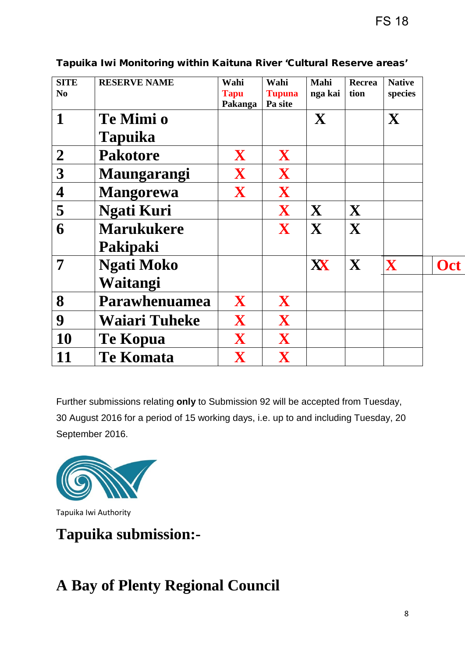| <b>SITE</b>             | <b>RESERVE NAME</b>  | Wahi                   | Wahi                     | Mahi    | Recrea | <b>Native</b> |     |
|-------------------------|----------------------|------------------------|--------------------------|---------|--------|---------------|-----|
| No                      |                      | <b>Tapu</b><br>Pakanga | <b>Tupuna</b><br>Pa site | nga kai | tion   | species       |     |
| $\mathbf 1$             | Te Mimi o            |                        |                          | X       |        | X             |     |
|                         | <b>Tapuika</b>       |                        |                          |         |        |               |     |
| $\overline{2}$          | <b>Pakotore</b>      | X                      | X                        |         |        |               |     |
| 3                       | Maungarangi          | X                      | X                        |         |        |               |     |
| $\overline{\mathbf{4}}$ | <b>Mangorewa</b>     | X                      | X                        |         |        |               |     |
| 5                       | <b>Ngati Kuri</b>    |                        | X                        | X       | X      |               |     |
| 6                       | <b>Marukukere</b>    |                        | X                        | X       | X      |               |     |
|                         | Pakipaki             |                        |                          |         |        |               |     |
| 7                       | <b>Ngati Moko</b>    |                        |                          | XX      | X      | $\mathbf X$   | Oct |
|                         | Waitangi             |                        |                          |         |        |               |     |
| 8                       | Parawhenuamea        | X                      | X                        |         |        |               |     |
| 9                       | <b>Waiari Tuheke</b> | X                      | X                        |         |        |               |     |
| 10                      | <b>Te Kopua</b>      | X                      | X                        |         |        |               |     |
| 11                      | <b>Te Komata</b>     | X                      | X                        |         |        |               |     |

#### Tapuika Iwi Monitoring within Kaituna River 'Cultural Reserve areas'

Further submissions relating **only** to Submission 92 will be accepted from Tuesday, 30 August 2016 for a period of 15 working days, i.e. up to and including Tuesday, 20 September 2016.



Tapuika Iwi Authority

**Tapuika submission:-** 

## **A Bay of Plenty Regional Council**